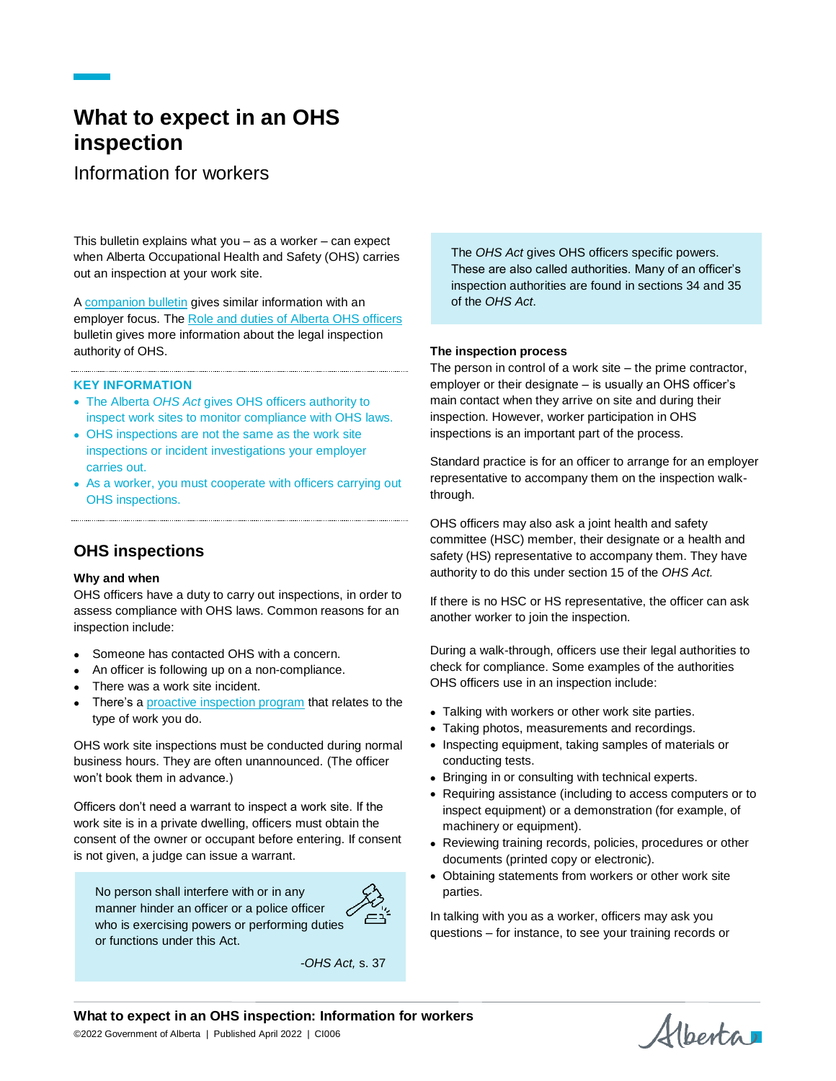# **What to expect in an OHS inspection**

Information for workers

This bulletin explains what you – as a worker – can expect when Alberta Occupational Health and Safety (OHS) carries out an inspection at your work site.

A [companion bulletin](https://ohs-pubstore.labour.alberta.ca/CI007) gives similar information with an employer focus. The [Role and duties of Alberta OHS officers](https://ohs-pubstore.labour.alberta.ca/li046) bulletin gives more information about the legal inspection authority of OHS.

### **KEY INFORMATION**

- The Alberta *OHS Act* gives OHS officers authority to inspect work sites to monitor compliance with OHS laws.
- OHS inspections are not the same as the work site inspections or incident investigations your employer carries out.
- As a worker, you must cooperate with officers carrying out OHS inspections.

# **OHS inspections**

### **Why and when**

OHS officers have a duty to carry out inspections, in order to assess compliance with OHS laws. Common reasons for an inspection include:

- Someone has contacted OHS with a concern.
- An officer is following up on a non-compliance.
- There was a work site incident.
- There's [a proactive inspection program](https://www.alberta.ca/ohs-proactive-inspection-program.aspx) that relates to the type of work you do.

OHS work site inspections must be conducted during normal business hours. They are often unannounced. (The officer won't book them in advance.)

Officers don't need a warrant to inspect a work site. If the work site is in a private dwelling, officers must obtain the consent of the owner or occupant before entering. If consent is not given, a judge can issue a warrant.

No person shall interfere with or in any manner hinder an officer or a police officer who is exercising powers or performing duties or functions under this Act.



*-OHS Act,* s. 37

The *OHS Act* gives OHS officers specific powers. These are also called authorities. Many of an officer's inspection authorities are found in sections 34 and 35 of the *OHS Act*.

### **The inspection process**

The person in control of a work site – the prime contractor, employer or their designate – is usually an OHS officer's main contact when they arrive on site and during their inspection. However, worker participation in OHS inspections is an important part of the process.

Standard practice is for an officer to arrange for an employer representative to accompany them on the inspection walkthrough.

OHS officers may also ask a joint health and safety committee (HSC) member, their designate or a health and safety (HS) representative to accompany them. They have authority to do this under section 15 of the *OHS Act.*

If there is no HSC or HS representative, the officer can ask another worker to join the inspection.

During a walk-through, officers use their legal authorities to check for compliance. Some examples of the authorities OHS officers use in an inspection include:

- Talking with workers or other work site parties.
- Taking photos, measurements and recordings.
- Inspecting equipment, taking samples of materials or conducting tests.
- Bringing in or consulting with technical experts.
- Requiring assistance (including to access computers or to inspect equipment) or a demonstration (for example, of machinery or equipment).
- Reviewing training records, policies, procedures or other documents (printed copy or electronic).
- Obtaining statements from workers or other work site parties.

In talking with you as a worker, officers may ask you questions – for instance, to see your training records or

**What to expect in an OHS inspection: Information for workers**

©2022 Government of Alberta | Published April 2022 | CI006

Alberta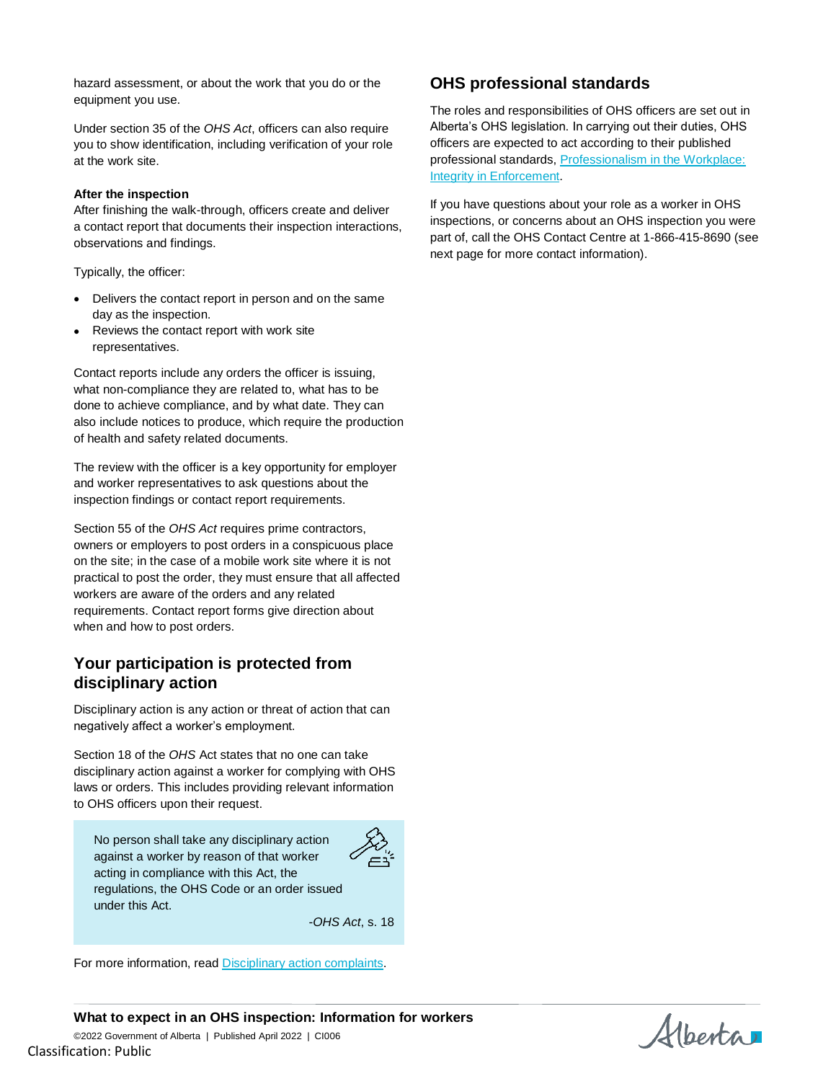hazard assessment, or about the work that you do or the equipment you use.

Under section 35 of the *OHS Act*, officers can also require you to show identification, including verification of your role at the work site.

### **After the inspection**

After finishing the walk-through, officers create and deliver a contact report that documents their inspection interactions, observations and findings.

Typically, the officer:

- Delivers the contact report in person and on the same day as the inspection.
- Reviews the contact report with work site representatives.

Contact reports include any orders the officer is issuing, what non-compliance they are related to, what has to be done to achieve compliance, and by what date. They can also include notices to produce, which require the production of health and safety related documents.

The review with the officer is a key opportunity for employer and worker representatives to ask questions about the inspection findings or contact report requirements.

Section 55 of the *OHS Act* requires prime contractors, owners or employers to post orders in a conspicuous place on the site; in the case of a mobile work site where it is not practical to post the order, they must ensure that all affected workers are aware of the orders and any related requirements. Contact report forms give direction about when and how to post orders.

# **Your participation is protected from disciplinary action**

Disciplinary action is any action or threat of action that can negatively affect a worker's employment.

Section 18 of the *OHS* Act states that no one can take disciplinary action against a worker for complying with OHS laws or orders. This includes providing relevant information to OHS officers upon their request.

No person shall take any disciplinary action against a worker by reason of that worker acting in compliance with this Act, the regulations, the OHS Code or an order issued under this Act.



-*OHS Act*, s. 18

For more information, read [Disciplinary action complaints.](https://ohs-pubstore.labour.alberta.ca/li061)

# **OHS professional standards**

The roles and responsibilities of OHS officers are set out in Alberta's OHS legislation. In carrying out their duties, OHS officers are expected to act according to their published professional standards, [Professionalism in the Workplace:](https://ohs-pubstore.labour.alberta.ca/bp034)  [Integrity in Enforcement.](https://ohs-pubstore.labour.alberta.ca/bp034)

If you have questions about your role as a worker in OHS inspections, or concerns about an OHS inspection you were part of, call the OHS Contact Centre at 1-866-415-8690 (see next page for more contact information).

**What to expect in an OHS inspection: Information for workers** ©2022 Government of Alberta | Published April 2022 | CI006 Classification: Public

Alberta